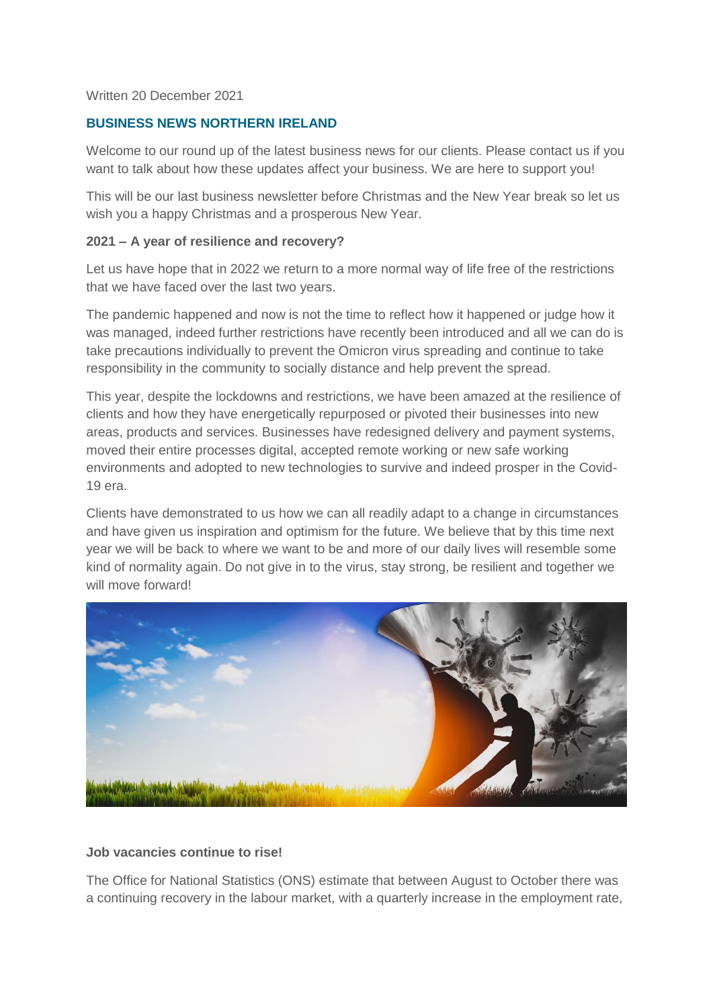### Written 20 December 2021

# **BUSINESS NEWS NORTHERN IRELAND**

Welcome to our round up of the latest business news for our clients. Please contact us if you want to talk about how these updates affect your business. We are here to support you!

This will be our last business newsletter before Christmas and the New Year break so let us wish you a happy Christmas and a prosperous New Year.

#### **2021 – A year of resilience and recovery?**

Let us have hope that in 2022 we return to a more normal way of life free of the restrictions that we have faced over the last two years.

The pandemic happened and now is not the time to reflect how it happened or judge how it was managed, indeed further restrictions have recently been introduced and all we can do is take precautions individually to prevent the Omicron virus spreading and continue to take responsibility in the community to socially distance and help prevent the spread.

This year, despite the lockdowns and restrictions, we have been amazed at the resilience of clients and how they have energetically repurposed or pivoted their businesses into new areas, products and services. Businesses have redesigned delivery and payment systems, moved their entire processes digital, accepted remote working or new safe working environments and adopted to new technologies to survive and indeed prosper in the Covid-19 era.

Clients have demonstrated to us how we can all readily adapt to a change in circumstances and have given us inspiration and optimism for the future. We believe that by this time next year we will be back to where we want to be and more of our daily lives will resemble some kind of normality again. Do not give in to the virus, stay strong, be resilient and together we will move forward!



#### **Job vacancies continue to rise!**

The Office for National Statistics (ONS) estimate that between August to October there was a continuing recovery in the labour market, with a quarterly increase in the employment rate,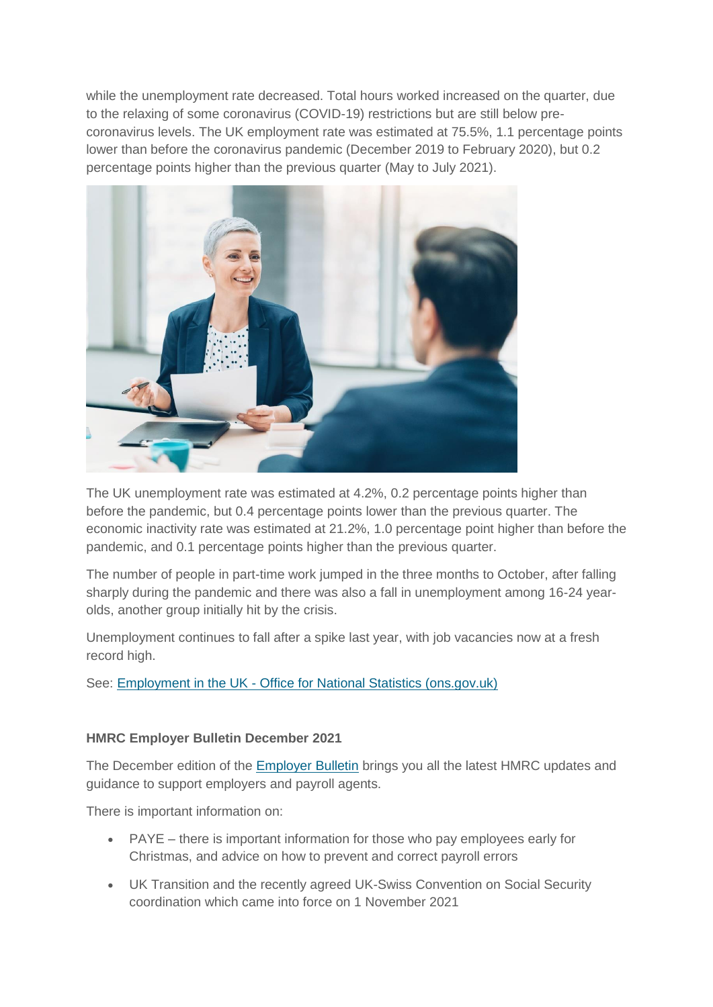while the unemployment rate decreased. Total hours worked increased on the quarter, due to the relaxing of some coronavirus (COVID-19) restrictions but are still below precoronavirus levels. The UK employment rate was estimated at 75.5%, 1.1 percentage points lower than before the coronavirus pandemic (December 2019 to February 2020), but 0.2 percentage points higher than the previous quarter (May to July 2021).



The UK unemployment rate was estimated at 4.2%, 0.2 percentage points higher than before the pandemic, but 0.4 percentage points lower than the previous quarter. The economic inactivity rate was estimated at 21.2%, 1.0 percentage point higher than before the pandemic, and 0.1 percentage points higher than the previous quarter.

The number of people in part-time work jumped in the three months to October, after falling sharply during the pandemic and there was also a fall in unemployment among 16-24 yearolds, another group initially hit by the crisis.

Unemployment continues to fall after a spike last year, with job vacancies now at a fresh record high.

See: Employment in the UK - [Office for National Statistics \(ons.gov.uk\)](https://www.ons.gov.uk/employmentandlabourmarket/peopleinwork/employmentandemployeetypes/bulletins/employmentintheuk/december2021)

# **HMRC Employer Bulletin December 2021**

The December edition of the [Employer Bulletin](https://www.gov.uk/government/publications/employer-bulletin-december-2021/employer-bulletin-december-2021) brings you all the latest HMRC updates and guidance to support employers and payroll agents.

There is important information on:

- PAYE there is important information for those who pay employees early for Christmas, and advice on how to prevent and correct payroll errors
- UK Transition and the recently agreed UK-Swiss Convention on Social Security coordination which came into force on 1 November 2021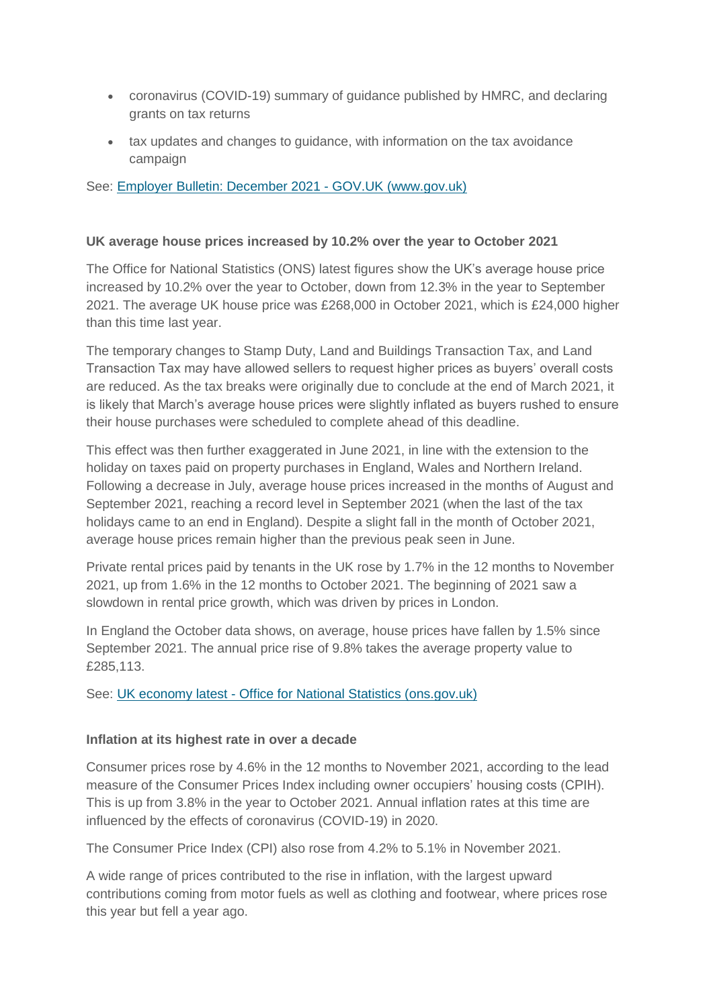- coronavirus (COVID-19) summary of guidance published by HMRC, and declaring grants on tax returns
- tax updates and changes to guidance, with information on the tax avoidance campaign

See: [Employer Bulletin: December 2021 -](https://www.gov.uk/government/publications/employer-bulletin-december-2021/employer-bulletin-december-2021) GOV.UK (www.gov.uk)

# **UK average house prices increased by 10.2% over the year to October 2021**

The Office for National Statistics (ONS) latest figures show the UK's average house price increased by 10.2% over the year to October, down from 12.3% in the year to September 2021. The average UK house price was £268,000 in October 2021, which is £24,000 higher than this time last year.

The temporary changes to Stamp Duty, Land and Buildings Transaction Tax, and Land Transaction Tax may have allowed sellers to request higher prices as buyers' overall costs are reduced. As the tax breaks were originally due to conclude at the end of March 2021, it is likely that March's average house prices were slightly inflated as buyers rushed to ensure their house purchases were scheduled to complete ahead of this deadline.

This effect was then further exaggerated in June 2021, in line with the extension to the holiday on taxes paid on property purchases in England, Wales and Northern Ireland. Following a decrease in July, average house prices increased in the months of August and September 2021, reaching a record level in September 2021 (when the last of the tax holidays came to an end in England). Despite a slight fall in the month of October 2021, average house prices remain higher than the previous peak seen in June.

Private rental prices paid by tenants in the UK rose by 1.7% in the 12 months to November 2021, up from 1.6% in the 12 months to October 2021. The beginning of 2021 saw a slowdown in rental price growth, which was driven by prices in London.

In England the October data shows, on average, house prices have fallen by 1.5% since September 2021. The annual price rise of 9.8% takes the average property value to £285,113.

See: UK economy latest - [Office for National Statistics \(ons.gov.uk\)](https://www.ons.gov.uk/economy/economicoutputandproductivity/output/articles/ukeconomylatest/2021-01-25#hpi)

# **Inflation at its highest rate in over a decade**

Consumer prices rose by 4.6% in the 12 months to November 2021, according to the lead measure of the Consumer Prices Index including owner occupiers' housing costs (CPIH). This is up from 3.8% in the year to October 2021. Annual inflation rates at this time are influenced by the effects of coronavirus (COVID-19) in 2020.

The Consumer Price Index (CPI) also rose from 4.2% to 5.1% in November 2021.

A wide range of prices contributed to the rise in inflation, with the largest upward contributions coming from motor fuels as well as clothing and footwear, where prices rose this year but fell a year ago.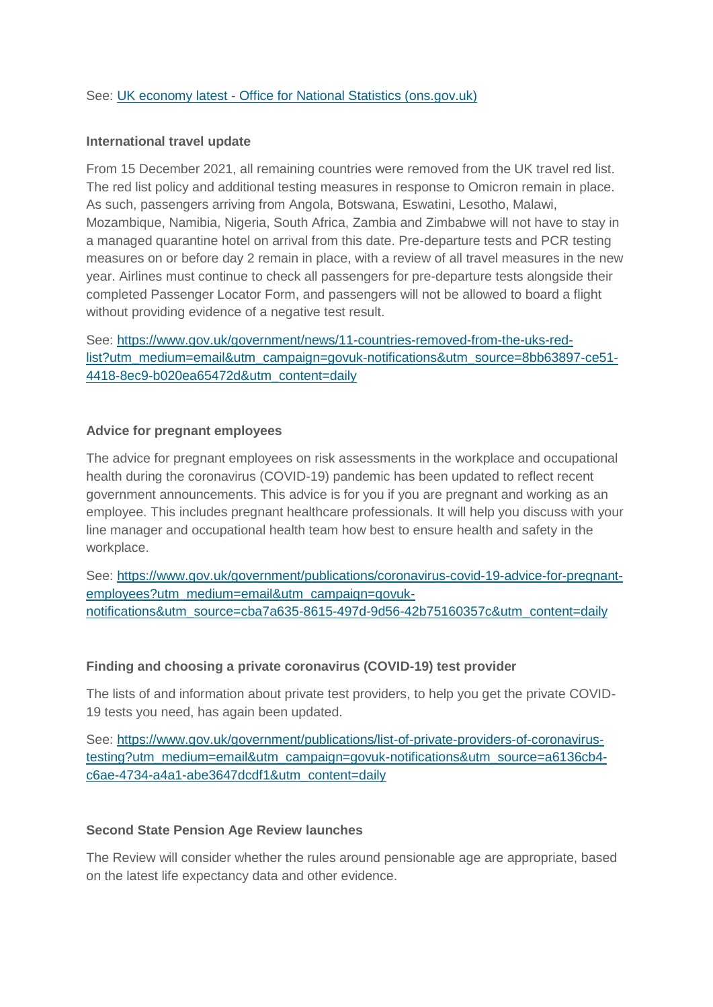# See: UK economy latest - [Office for National Statistics \(ons.gov.uk\)](https://www.ons.gov.uk/economy/economicoutputandproductivity/output/articles/ukeconomylatest/2021-01-25#inflation)

### **International travel update**

From 15 December 2021, all remaining countries were removed from the UK travel red list. The red list policy and additional testing measures in response to Omicron remain in place. As such, passengers arriving from Angola, Botswana, Eswatini, Lesotho, Malawi, Mozambique, Namibia, Nigeria, South Africa, Zambia and Zimbabwe will not have to stay in a managed quarantine hotel on arrival from this date. Pre-departure tests and PCR testing measures on or before day 2 remain in place, with a review of all travel measures in the new year. Airlines must continue to check all passengers for pre-departure tests alongside their completed Passenger Locator Form, and passengers will not be allowed to board a flight without providing evidence of a negative test result.

See: [https://www.gov.uk/government/news/11-countries-removed-from-the-uks-red](https://www.gov.uk/government/news/11-countries-removed-from-the-uks-red-list?utm_medium=email&utm_campaign=govuk-notifications&utm_source=8bb63897-ce51-4418-8ec9-b020ea65472d&utm_content=daily)[list?utm\\_medium=email&utm\\_campaign=govuk-notifications&utm\\_source=8bb63897-ce51-](https://www.gov.uk/government/news/11-countries-removed-from-the-uks-red-list?utm_medium=email&utm_campaign=govuk-notifications&utm_source=8bb63897-ce51-4418-8ec9-b020ea65472d&utm_content=daily) [4418-8ec9-b020ea65472d&utm\\_content=daily](https://www.gov.uk/government/news/11-countries-removed-from-the-uks-red-list?utm_medium=email&utm_campaign=govuk-notifications&utm_source=8bb63897-ce51-4418-8ec9-b020ea65472d&utm_content=daily)

### **Advice for pregnant employees**

The advice for pregnant employees on risk assessments in the workplace and occupational health during the coronavirus (COVID-19) pandemic has been updated to reflect recent government announcements. This advice is for you if you are pregnant and working as an employee. This includes pregnant healthcare professionals. It will help you discuss with your line manager and occupational health team how best to ensure health and safety in the workplace.

See: [https://www.gov.uk/government/publications/coronavirus-covid-19-advice-for-pregnant](https://www.gov.uk/government/publications/coronavirus-covid-19-advice-for-pregnant-employees?utm_medium=email&utm_campaign=govuk-notifications&utm_source=cba7a635-8615-497d-9d56-42b75160357c&utm_content=daily)[employees?utm\\_medium=email&utm\\_campaign=govuk](https://www.gov.uk/government/publications/coronavirus-covid-19-advice-for-pregnant-employees?utm_medium=email&utm_campaign=govuk-notifications&utm_source=cba7a635-8615-497d-9d56-42b75160357c&utm_content=daily)[notifications&utm\\_source=cba7a635-8615-497d-9d56-42b75160357c&utm\\_content=daily](https://www.gov.uk/government/publications/coronavirus-covid-19-advice-for-pregnant-employees?utm_medium=email&utm_campaign=govuk-notifications&utm_source=cba7a635-8615-497d-9d56-42b75160357c&utm_content=daily)

### **Finding and choosing a private coronavirus (COVID-19) test provider**

The lists of and information about private test providers, to help you get the private COVID-19 tests you need, has again been updated.

See: [https://www.gov.uk/government/publications/list-of-private-providers-of-coronavirus](https://www.gov.uk/government/publications/list-of-private-providers-of-coronavirus-testing?utm_medium=email&utm_campaign=govuk-notifications&utm_source=a6136cb4-c6ae-4734-a4a1-abe3647dcdf1&utm_content=daily)[testing?utm\\_medium=email&utm\\_campaign=govuk-notifications&utm\\_source=a6136cb4](https://www.gov.uk/government/publications/list-of-private-providers-of-coronavirus-testing?utm_medium=email&utm_campaign=govuk-notifications&utm_source=a6136cb4-c6ae-4734-a4a1-abe3647dcdf1&utm_content=daily) [c6ae-4734-a4a1-abe3647dcdf1&utm\\_content=daily](https://www.gov.uk/government/publications/list-of-private-providers-of-coronavirus-testing?utm_medium=email&utm_campaign=govuk-notifications&utm_source=a6136cb4-c6ae-4734-a4a1-abe3647dcdf1&utm_content=daily)

### **Second State Pension Age Review launches**

The Review will consider whether the rules around pensionable age are appropriate, based on the latest life expectancy data and other evidence.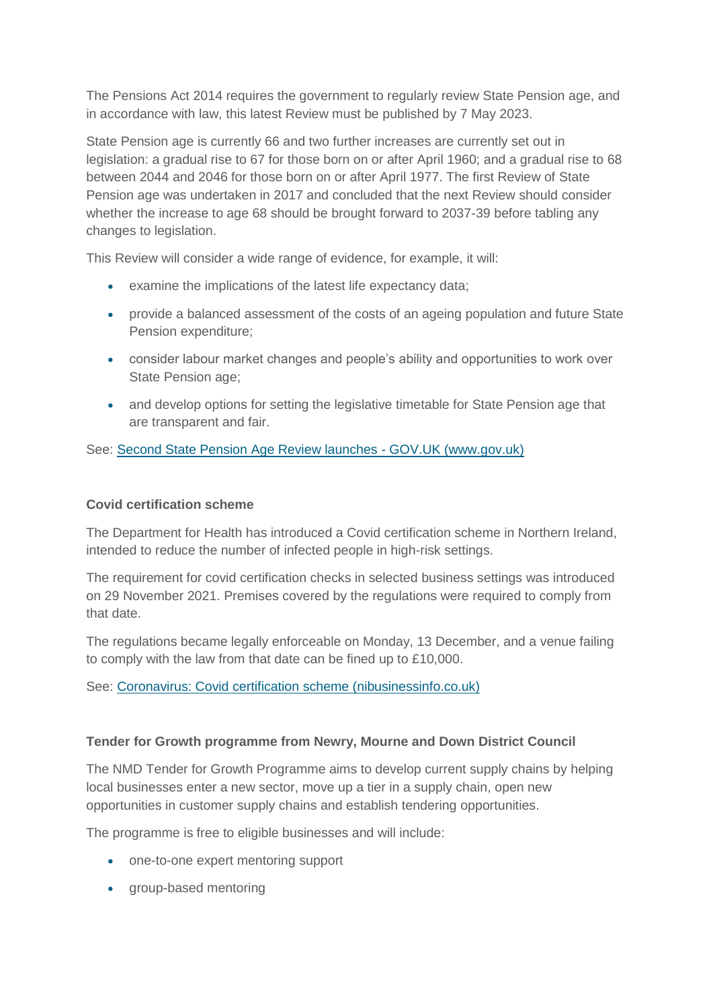The Pensions Act 2014 requires the government to regularly review State Pension age, and in accordance with law, this latest Review must be published by 7 May 2023.

State Pension age is currently 66 and two further increases are currently set out in legislation: a gradual rise to 67 for those born on or after April 1960; and a gradual rise to 68 between 2044 and 2046 for those born on or after April 1977. The first Review of State Pension age was undertaken in 2017 and concluded that the next Review should consider whether the increase to age 68 should be brought forward to 2037-39 before tabling any changes to legislation.

This Review will consider a wide range of evidence, for example, it will:

- examine the implications of the latest life expectancy data;
- provide a balanced assessment of the costs of an ageing population and future State Pension expenditure;
- consider labour market changes and people's ability and opportunities to work over State Pension age;
- and develop options for setting the legislative timetable for State Pension age that are transparent and fair.

See: [Second State Pension Age Review launches -](https://www.gov.uk/government/news/second-state-pension-age-review-launches) GOV.UK (www.gov.uk)

# **Covid certification scheme**

The Department for Health has introduced a Covid certification scheme in Northern Ireland, intended to reduce the number of infected people in high-risk settings.

The requirement for covid certification checks in selected business settings was introduced on 29 November 2021. Premises covered by the regulations were required to comply from that date.

The regulations became legally enforceable on Monday, 13 December, and a venue failing to comply with the law from that date can be fined up to £10,000.

See: [Coronavirus: Covid certification scheme \(nibusinessinfo.co.uk\)](https://www.nibusinessinfo.co.uk/content/coronavirus-covid-certification-scheme)

### **Tender for Growth programme from Newry, Mourne and Down District Council**

The NMD Tender for Growth Programme aims to develop current supply chains by helping local businesses enter a new sector, move up a tier in a supply chain, open new opportunities in customer supply chains and establish tendering opportunities.

The programme is free to eligible businesses and will include:

- one-to-one expert mentoring support
- group-based mentoring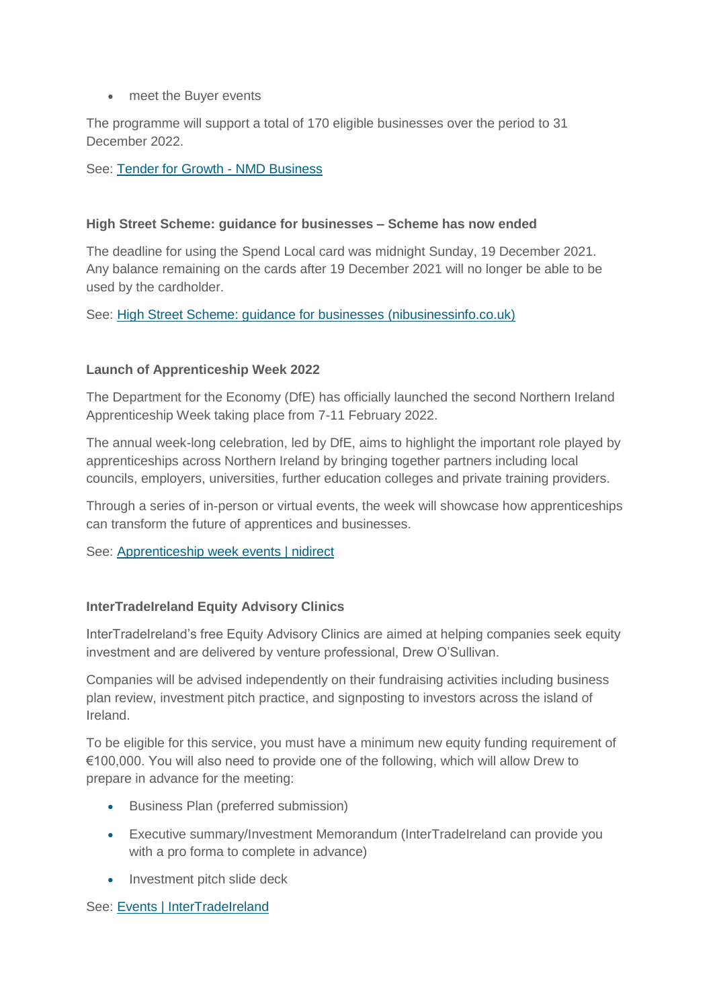• meet the Buyer events

The programme will support a total of 170 eligible businesses over the period to 31 December 2022.

See: [Tender for Growth -](http://nmdbusiness.org/tender-for-growth/) NMD Business

## **High Street Scheme: guidance for businesses – Scheme has now ended**

The deadline for using the Spend Local card was midnight Sunday, 19 December 2021. Any balance remaining on the cards after 19 December 2021 will no longer be able to be used by the cardholder.

See: [High Street Scheme: guidance for businesses](https://www.nibusinessinfo.co.uk/content/high-street-scheme-guidance-businesses) (nibusinessinfo.co.uk)

# **Launch of Apprenticeship Week 2022**

The Department for the Economy (DfE) has officially launched the second Northern Ireland Apprenticeship Week taking place from 7-11 February 2022.

The annual week-long celebration, led by DfE, aims to highlight the important role played by apprenticeships across Northern Ireland by bringing together partners including local councils, employers, universities, further education colleges and private training providers.

Through a series of in-person or virtual events, the week will showcase how apprenticeships can transform the future of apprentices and businesses.

See: [Apprenticeship week events | nidirect](https://www.nidirect.gov.uk/articles/apprenticeship-week-events)

# **InterTradeIreland Equity Advisory Clinics**

InterTradeIreland's free Equity Advisory Clinics are aimed at helping companies seek equity investment and are delivered by venture professional, Drew O'Sullivan.

Companies will be advised independently on their fundraising activities including business plan review, investment pitch practice, and signposting to investors across the island of Ireland.

To be eligible for this service, you must have a minimum new equity funding requirement of €100,000. You will also need to provide one of the following, which will allow Drew to prepare in advance for the meeting:

- **Business Plan (preferred submission)**
- Executive summary/Investment Memorandum (InterTradeIreland can provide you with a pro forma to complete in advance)
- Investment pitch slide deck

See: [Events | InterTradeIreland](https://intertradeireland.com/events)